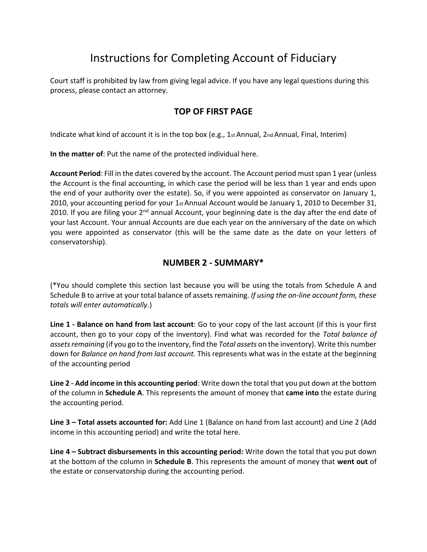# Instructions for Completing Account of Fiduciary

Court staff is prohibited by law from giving legal advice. If you have any legal questions during this process, please contact an attorney.

## **TOP OF FIRST PAGE**

Indicate what kind of account it is in the top box (e.g., 1st Annual, 2nd Annual, Final, Interim)

**In the matter of**: Put the name of the protected individual here.

**Account Period**: Fill in the dates covered by the account. The Account period must span 1 year (unless the Account is the final accounting, in which case the period will be less than 1 year and ends upon the end of your authority over the estate). So, if you were appointed as conservator on January 1, 2010, your accounting period for your 1st Annual Account would be January 1, 2010 to December 31, 2010. If you are filing your  $2^{nd}$  annual Account, your beginning date is the day after the end date of your last Account. Your annual Accounts are due each year on the anniversary of the date on which you were appointed as conservator (this will be the same date as the date on your letters of conservatorship).

### **NUMBER 2 - SUMMARY\***

(\*You should complete this section last because you will be using the totals from Schedule A and Schedule B to arrive at your total balance of assets remaining. *If using the on-line account form, these totals will enter automatically*.)

**Line 1 - Balance on hand from last account**: Go to your copy of the last account (if this is your first account, then go to your copy of the inventory). Find what was recorded for the *Total balance of assets remaining* (if you go to the inventory, find the *Total assets* on the inventory). Write this number down for *Balance on hand from last account.* This represents what was in the estate at the beginning of the accounting period

**Line 2 - Add income in this accounting period**: Write down the total that you put down at the bottom of the column in **Schedule A**. This represents the amount of money that **came into** the estate during the accounting period.

**Line 3 – Total assets accounted for:** Add Line 1 (Balance on hand from last account) and Line 2 (Add income in this accounting period) and write the total here.

**Line 4 – Subtract disbursements in this accounting period:** Write down the total that you put down at the bottom of the column in **Schedule B**. This represents the amount of money that **went out** of the estate or conservatorship during the accounting period.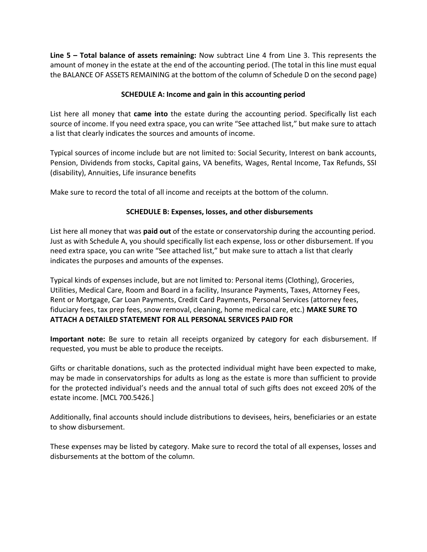**Line 5 – Total balance of assets remaining:** Now subtract Line 4 from Line 3. This represents the amount of money in the estate at the end of the accounting period. (The total in this line must equal the BALANCE OF ASSETS REMAINING at the bottom of the column of Schedule D on the second page)

#### **SCHEDULE A: Income and gain in this accounting period**

List here all money that **came into** the estate during the accounting period. Specifically list each source of income. If you need extra space, you can write "See attached list," but make sure to attach a list that clearly indicates the sources and amounts of income.

Typical sources of income include but are not limited to: Social Security, Interest on bank accounts, Pension, Dividends from stocks, Capital gains, VA benefits, Wages, Rental Income, Tax Refunds, SSI (disability), Annuities, Life insurance benefits

Make sure to record the total of all income and receipts at the bottom of the column.

#### **SCHEDULE B: Expenses, losses, and other disbursements**

List here all money that was **paid out** of the estate or conservatorship during the accounting period. Just as with Schedule A, you should specifically list each expense, loss or other disbursement. If you need extra space, you can write "See attached list," but make sure to attach a list that clearly indicates the purposes and amounts of the expenses.

Typical kinds of expenses include, but are not limited to: Personal items (Clothing), Groceries, Utilities, Medical Care, Room and Board in a facility, Insurance Payments, Taxes, Attorney Fees, Rent or Mortgage, Car Loan Payments, Credit Card Payments, Personal Services (attorney fees, fiduciary fees, tax prep fees, snow removal, cleaning, home medical care, etc.) **MAKE SURE TO ATTACH A DETAILED STATEMENT FOR ALL PERSONAL SERVICES PAID FOR**

**Important note:** Be sure to retain all receipts organized by category for each disbursement. If requested, you must be able to produce the receipts.

Gifts or charitable donations, such as the protected individual might have been expected to make, may be made in conservatorships for adults as long as the estate is more than sufficient to provide for the protected individual's needs and the annual total of such gifts does not exceed 20% of the estate income. [MCL 700.5426.]

Additionally, final accounts should include distributions to devisees, heirs, beneficiaries or an estate to show disbursement.

These expenses may be listed by category. Make sure to record the total of all expenses, losses and disbursements at the bottom of the column.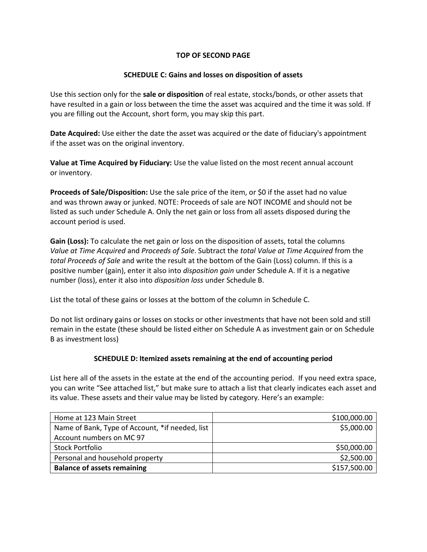#### **TOP OF SECOND PAGE**

#### **SCHEDULE C: Gains and losses on disposition of assets**

Use this section only for the **sale or disposition** of real estate, stocks/bonds, or other assets that have resulted in a gain or loss between the time the asset was acquired and the time it was sold. If you are filling out the Account, short form, you may skip this part.

**Date Acquired:** Use either the date the asset was acquired or the date of fiduciary's appointment if the asset was on the original inventory.

**Value at Time Acquired by Fiduciary:** Use the value listed on the most recent annual account or inventory.

**Proceeds of Sale/Disposition:** Use the sale price of the item, or \$0 if the asset had no value and was thrown away or junked. NOTE: Proceeds of sale are NOT INCOME and should not be listed as such under Schedule A. Only the net gain or loss from all assets disposed during the account period is used.

**Gain (Loss):** To calculate the net gain or loss on the disposition of assets, total the columns *Value at Time Acquired* and *Proceeds of Sale*. Subtract the *total Value at Time Acquired* from the *total Proceeds of Sale* and write the result at the bottom of the Gain (Loss) column. If this is a positive number (gain), enter it also into *disposition gain* under Schedule A. If it is a negative number (loss), enter it also into *disposition loss* under Schedule B.

List the total of these gains or losses at the bottom of the column in Schedule C.

Do not list ordinary gains or losses on stocks or other investments that have not been sold and still remain in the estate (these should be listed either on Schedule A as investment gain or on Schedule B as investment loss)

#### **SCHEDULE D: Itemized assets remaining at the end of accounting period**

List here all of the assets in the estate at the end of the accounting period. If you need extra space, you can write "See attached list," but make sure to attach a list that clearly indicates each asset and its value. These assets and their value may be listed by category. Here's an example:

| Home at 123 Main Street                         | \$100,000.00 |
|-------------------------------------------------|--------------|
| Name of Bank, Type of Account, *if needed, list | \$5,000.00   |
| Account numbers on MC 97                        |              |
| <b>Stock Portfolio</b>                          | \$50,000.00  |
| Personal and household property                 | \$2,500.00   |
| <b>Balance of assets remaining</b>              | \$157,500.00 |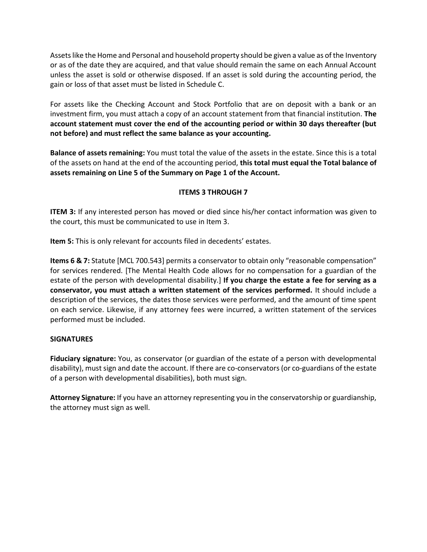Assets like the Home and Personal and household property should be given a value as of the Inventory or as of the date they are acquired, and that value should remain the same on each Annual Account unless the asset is sold or otherwise disposed. If an asset is sold during the accounting period, the gain or loss of that asset must be listed in Schedule C.

For assets like the Checking Account and Stock Portfolio that are on deposit with a bank or an investment firm, you must attach a copy of an account statement from that financial institution. **The account statement must cover the end of the accounting period or within 30 days thereafter (but not before) and must reflect the same balance as your accounting.**

**Balance of assets remaining:** You must total the value of the assets in the estate. Since this is a total of the assets on hand at the end of the accounting period, **this total must equal the Total balance of assets remaining on Line 5 of the Summary on Page 1 of the Account.**

#### **ITEMS 3 THROUGH 7**

**ITEM 3:** If any interested person has moved or died since his/her contact information was given to the court, this must be communicated to use in Item 3.

**Item 5:** This is only relevant for accounts filed in decedents' estates.

**Items 6 & 7:** Statute [MCL 700.543] permits a conservator to obtain only "reasonable compensation" for services rendered. [The Mental Health Code allows for no compensation for a guardian of the estate of the person with developmental disability.] **If you charge the estate a fee for serving as a conservator, you must attach a written statement of the services performed.** It should include a description of the services, the dates those services were performed, and the amount of time spent on each service. Likewise, if any attorney fees were incurred, a written statement of the services performed must be included.

#### **SIGNATURES**

**Fiduciary signature:** You, as conservator (or guardian of the estate of a person with developmental disability), must sign and date the account. If there are co-conservators (or co-guardians of the estate of a person with developmental disabilities), both must sign.

**Attorney Signature:** If you have an attorney representing you in the conservatorship or guardianship, the attorney must sign as well.